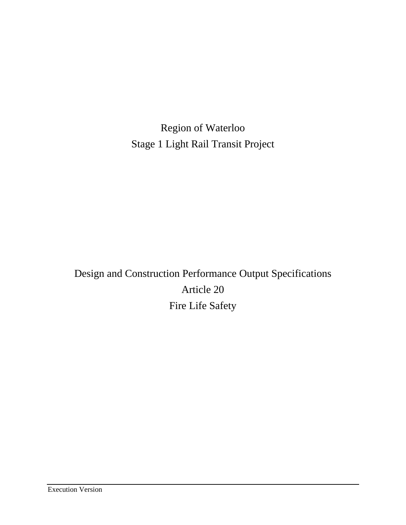Region of Waterloo Stage 1 Light Rail Transit Project

Design and Construction Performance Output Specifications Article 20 Fire Life Safety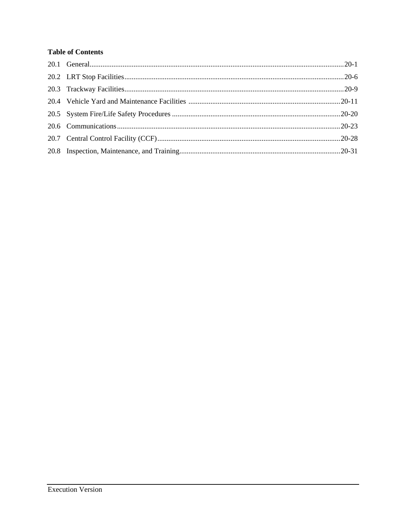# **Table of Contents**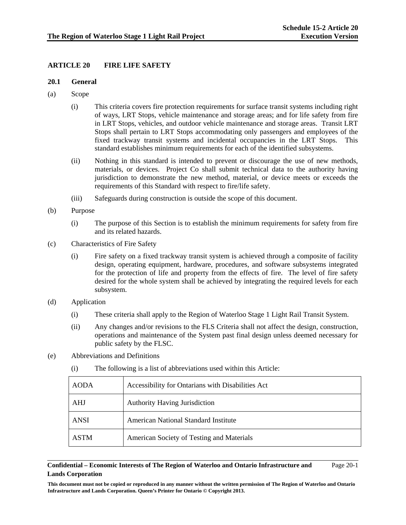## **ARTICLE 20 FIRE LIFE SAFETY**

### **20.1 General**

- (a) Scope
	- (i) This criteria covers fire protection requirements for surface transit systems including right of ways, LRT Stops, vehicle maintenance and storage areas; and for life safety from fire in LRT Stops, vehicles, and outdoor vehicle maintenance and storage areas. Transit LRT Stops shall pertain to LRT Stops accommodating only passengers and employees of the fixed trackway transit systems and incidental occupancies in the LRT Stops. This standard establishes minimum requirements for each of the identified subsystems.
	- (ii) Nothing in this standard is intended to prevent or discourage the use of new methods, materials, or devices. Project Co shall submit technical data to the authority having jurisdiction to demonstrate the new method, material, or device meets or exceeds the requirements of this Standard with respect to fire/life safety.
	- (iii) Safeguards during construction is outside the scope of this document.
- (b) Purpose
	- (i) The purpose of this Section is to establish the minimum requirements for safety from fire and its related hazards.
- (c) Characteristics of Fire Safety
	- (i) Fire safety on a fixed trackway transit system is achieved through a composite of facility design, operating equipment, hardware, procedures, and software subsystems integrated for the protection of life and property from the effects of fire. The level of fire safety desired for the whole system shall be achieved by integrating the required levels for each subsystem.
- (d) Application
	- (i) These criteria shall apply to the Region of Waterloo Stage 1 Light Rail Transit System.
	- (ii) Any changes and/or revisions to the FLS Criteria shall not affect the design, construction, operations and maintenance of the System past final design unless deemed necessary for public safety by the FLSC.
- (e) Abbreviations and Definitions

| <b>AODA</b> | Accessibility for Ontarians with Disabilities Act |  |  |  |
|-------------|---------------------------------------------------|--|--|--|
| AHJ         | <b>Authority Having Jurisdiction</b>              |  |  |  |
| <b>ANSI</b> | <b>American National Standard Institute</b>       |  |  |  |
| <b>ASTM</b> | American Society of Testing and Materials         |  |  |  |

### (i) The following is a list of abbreviations used within this Article:

#### **Confidential – Economic Interests of The Region of Waterloo and Ontario Infrastructure and Lands Corporation**  Page 20-1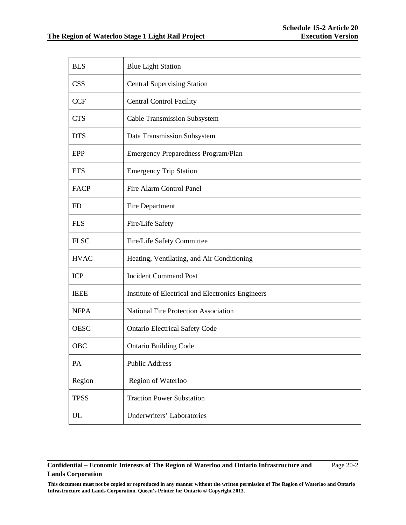| <b>BLS</b>  | <b>Blue Light Station</b>                         |  |  |  |  |
|-------------|---------------------------------------------------|--|--|--|--|
| <b>CSS</b>  | <b>Central Supervising Station</b>                |  |  |  |  |
| <b>CCF</b>  | <b>Central Control Facility</b>                   |  |  |  |  |
| <b>CTS</b>  | <b>Cable Transmission Subsystem</b>               |  |  |  |  |
| <b>DTS</b>  | Data Transmission Subsystem                       |  |  |  |  |
| EPP         | Emergency Preparedness Program/Plan               |  |  |  |  |
| <b>ETS</b>  | <b>Emergency Trip Station</b>                     |  |  |  |  |
| <b>FACP</b> | <b>Fire Alarm Control Panel</b>                   |  |  |  |  |
| FD          | Fire Department                                   |  |  |  |  |
| <b>FLS</b>  | Fire/Life Safety                                  |  |  |  |  |
| <b>FLSC</b> | Fire/Life Safety Committee                        |  |  |  |  |
| <b>HVAC</b> | Heating, Ventilating, and Air Conditioning        |  |  |  |  |
| <b>ICP</b>  | <b>Incident Command Post</b>                      |  |  |  |  |
| <b>IEEE</b> | Institute of Electrical and Electronics Engineers |  |  |  |  |
| <b>NFPA</b> | <b>National Fire Protection Association</b>       |  |  |  |  |
| <b>OESC</b> | <b>Ontario Electrical Safety Code</b>             |  |  |  |  |
| OBC         | <b>Ontario Building Code</b>                      |  |  |  |  |
| PA          | <b>Public Address</b>                             |  |  |  |  |
| Region      | Region of Waterloo                                |  |  |  |  |
| <b>TPSS</b> | <b>Traction Power Substation</b>                  |  |  |  |  |
| <b>UL</b>   | Underwriters' Laboratories                        |  |  |  |  |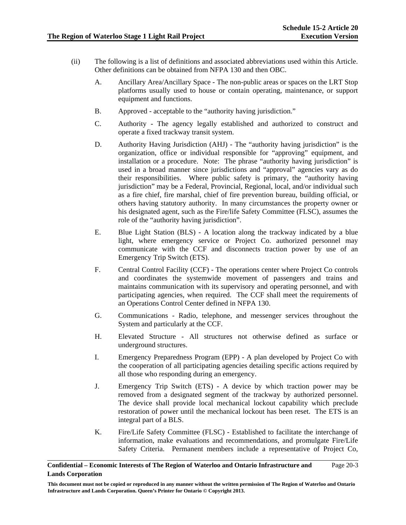- (ii) The following is a list of definitions and associated abbreviations used within this Article. Other definitions can be obtained from NFPA 130 and then OBC.
	- A. Ancillary Area/Ancillary Space The non-public areas or spaces on the LRT Stop platforms usually used to house or contain operating, maintenance, or support equipment and functions.
	- B. Approved acceptable to the "authority having jurisdiction."
	- C. Authority The agency legally established and authorized to construct and operate a fixed trackway transit system.
	- D. Authority Having Jurisdiction (AHJ) The "authority having jurisdiction" is the organization, office or individual responsible for "approving" equipment, and installation or a procedure. Note: The phrase "authority having jurisdiction" is used in a broad manner since jurisdictions and "approval" agencies vary as do their responsibilities. Where public safety is primary, the "authority having jurisdiction" may be a Federal, Provincial, Regional, local, and/or individual such as a fire chief, fire marshal, chief of fire prevention bureau, building official, or others having statutory authority. In many circumstances the property owner or his designated agent, such as the Fire/life Safety Committee (FLSC), assumes the role of the "authority having jurisdiction".
	- E. Blue Light Station (BLS) A location along the trackway indicated by a blue light, where emergency service or Project Co. authorized personnel may communicate with the CCF and disconnects traction power by use of an Emergency Trip Switch (ETS).
	- F. Central Control Facility (CCF) The operations center where Project Co controls and coordinates the systemwide movement of passengers and trains and maintains communication with its supervisory and operating personnel, and with participating agencies, when required. The CCF shall meet the requirements of an Operations Control Center defined in NFPA 130.
	- G. Communications Radio, telephone, and messenger services throughout the System and particularly at the CCF.
	- H. Elevated Structure All structures not otherwise defined as surface or underground structures.
	- I. Emergency Preparedness Program (EPP) A plan developed by Project Co with the cooperation of all participating agencies detailing specific actions required by all those who responding during an emergency.
	- J. Emergency Trip Switch (ETS) A device by which traction power may be removed from a designated segment of the trackway by authorized personnel. The device shall provide local mechanical lockout capability which preclude restoration of power until the mechanical lockout has been reset. The ETS is an integral part of a BLS.
	- K. Fire/Life Safety Committee (FLSC) Established to facilitate the interchange of information, make evaluations and recommendations, and promulgate Fire/Life Safety Criteria. Permanent members include a representative of Project Co,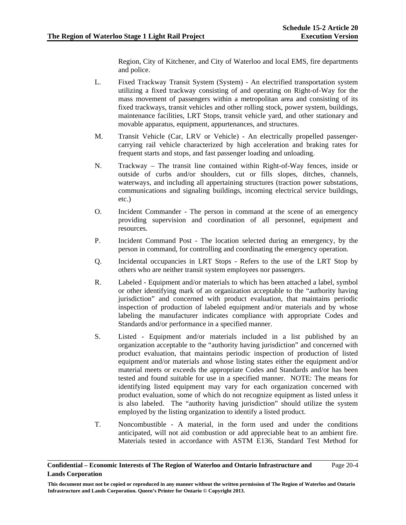Region, City of Kitchener, and City of Waterloo and local EMS, fire departments and police.

- L. Fixed Trackway Transit System (System) An electrified transportation system utilizing a fixed trackway consisting of and operating on Right-of-Way for the mass movement of passengers within a metropolitan area and consisting of its fixed trackways, transit vehicles and other rolling stock, power system, buildings, maintenance facilities, LRT Stops, transit vehicle yard, and other stationary and movable apparatus, equipment, appurtenances, and structures.
- M. Transit Vehicle (Car, LRV or Vehicle) An electrically propelled passengercarrying rail vehicle characterized by high acceleration and braking rates for frequent starts and stops, and fast passenger loading and unloading.
- N. Trackway The transit line contained within Right-of-Way fences, inside or outside of curbs and/or shoulders, cut or fills slopes, ditches, channels, waterways, and including all appertaining structures (traction power substations, communications and signaling buildings, incoming electrical service buildings, etc.)
- O. Incident Commander The person in command at the scene of an emergency providing supervision and coordination of all personnel, equipment and resources.
- P. Incident Command Post The location selected during an emergency, by the person in command, for controlling and coordinating the emergency operation.
- Q. Incidental occupancies in LRT Stops Refers to the use of the LRT Stop by others who are neither transit system employees nor passengers.
- R. Labeled Equipment and/or materials to which has been attached a label, symbol or other identifying mark of an organization acceptable to the "authority having jurisdiction" and concerned with product evaluation, that maintains periodic inspection of production of labeled equipment and/or materials and by whose labeling the manufacturer indicates compliance with appropriate Codes and Standards and/or performance in a specified manner.
- S. Listed Equipment and/or materials included in a list published by an organization acceptable to the "authority having jurisdiction" and concerned with product evaluation, that maintains periodic inspection of production of listed equipment and/or materials and whose listing states either the equipment and/or material meets or exceeds the appropriate Codes and Standards and/or has been tested and found suitable for use in a specified manner. NOTE: The means for identifying listed equipment may vary for each organization concerned with product evaluation, some of which do not recognize equipment as listed unless it is also labeled. The "authority having jurisdiction" should utilize the system employed by the listing organization to identify a listed product.
- T. Noncombustible A material, in the form used and under the conditions anticipated, will not aid combustion or add appreciable heat to an ambient fire. Materials tested in accordance with ASTM E136, Standard Test Method for

#### **Confidential – Economic Interests of The Region of Waterloo and Ontario Infrastructure and Lands Corporation**  Page 20-4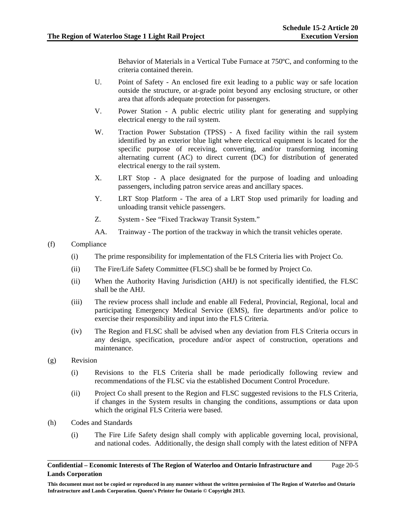Behavior of Materials in a Vertical Tube Furnace at 750ºC, and conforming to the criteria contained therein.

- U. Point of Safety An enclosed fire exit leading to a public way or safe location outside the structure, or at-grade point beyond any enclosing structure, or other area that affords adequate protection for passengers.
- V. Power Station A public electric utility plant for generating and supplying electrical energy to the rail system.
- W. Traction Power Substation (TPSS) A fixed facility within the rail system identified by an exterior blue light where electrical equipment is located for the specific purpose of receiving, converting, and/or transforming incoming alternating current (AC) to direct current (DC) for distribution of generated electrical energy to the rail system.
- X. LRT Stop A place designated for the purpose of loading and unloading passengers, including patron service areas and ancillary spaces.
- Y. LRT Stop Platform The area of a LRT Stop used primarily for loading and unloading transit vehicle passengers.
- Z. System See "Fixed Trackway Transit System."
- AA. Trainway The portion of the trackway in which the transit vehicles operate.
- (f) Compliance
	- (i) The prime responsibility for implementation of the FLS Criteria lies with Project Co.
	- (ii) The Fire/Life Safety Committee (FLSC) shall be be formed by Project Co.
	- (ii) When the Authority Having Jurisdiction (AHJ) is not specifically identified, the FLSC shall be the AHJ.
	- (iii) The review process shall include and enable all Federal, Provincial, Regional, local and participating Emergency Medical Service (EMS), fire departments and/or police to exercise their responsibility and input into the FLS Criteria.
	- (iv) The Region and FLSC shall be advised when any deviation from FLS Criteria occurs in any design, specification, procedure and/or aspect of construction, operations and maintenance.
- (g) Revision
	- (i) Revisions to the FLS Criteria shall be made periodically following review and recommendations of the FLSC via the established Document Control Procedure.
	- (ii) Project Co shall present to the Region and FLSC suggested revisions to the FLS Criteria, if changes in the System results in changing the conditions, assumptions or data upon which the original FLS Criteria were based.
- (h) Codes and Standards
	- (i) The Fire Life Safety design shall comply with applicable governing local, provisional, and national codes. Additionally, the design shall comply with the latest edition of NFPA

**This document must not be copied or reproduced in any manner without the written permission of The Region of Waterloo and Ontario Infrastructure and Lands Corporation. Queen's Printer for Ontario © Copyright 2013.**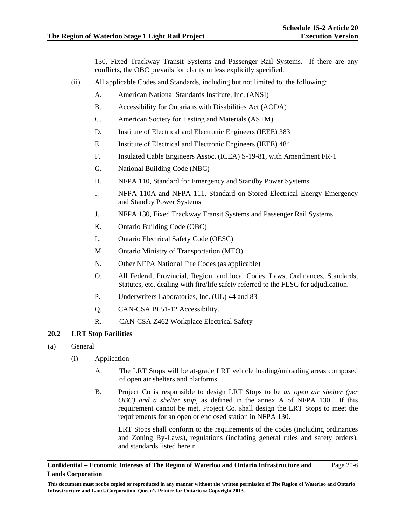130, Fixed Trackway Transit Systems and Passenger Rail Systems. If there are any conflicts, the OBC prevails for clarity unless explicitly specified.

- (ii) All applicable Codes and Standards, including but not limited to, the following:
	- A. American National Standards Institute, Inc. (ANSI)
	- B. Accessibility for Ontarians with Disabilities Act (AODA)
	- C. American Society for Testing and Materials (ASTM)
	- D. Institute of Electrical and Electronic Engineers (IEEE) 383
	- E. Institute of Electrical and Electronic Engineers (IEEE) 484
	- F. Insulated Cable Engineers Assoc. (ICEA) S-19-81, with Amendment FR-1
	- G. National Building Code (NBC)
	- H. NFPA 110, Standard for Emergency and Standby Power Systems
	- I. NFPA 110A and NFPA 111, Standard on Stored Electrical Energy Emergency and Standby Power Systems
	- J. NFPA 130, Fixed Trackway Transit Systems and Passenger Rail Systems
	- K. Ontario Building Code (OBC)
	- L. Ontario Electrical Safety Code (OESC)
	- M. Ontario Ministry of Transportation (MTO)
	- N. Other NFPA National Fire Codes (as applicable)
	- O. All Federal, Provincial, Region, and local Codes, Laws, Ordinances, Standards, Statutes, etc. dealing with fire/life safety referred to the FLSC for adjudication.
	- P. Underwriters Laboratories, Inc. (UL) 44 and 83
	- Q. CAN-CSA B651-12 Accessibility.
	- R. CAN-CSA Z462 Workplace Electrical Safety

## **20.2 LRT Stop Facilities**

- (a) General
	- (i) Application
		- A. The LRT Stops will be at-grade LRT vehicle loading/unloading areas composed of open air shelters and platforms.
		- B. Project Co is responsible to design LRT Stops to be *an open air shelter (per OBC) and a shelter stop,* as defined in the annex A of NFPA 130. If this requirement cannot be met, Project Co. shall design the LRT Stops to meet the requirements for an open or enclosed station in NFPA 130.

LRT Stops shall conform to the requirements of the codes (including ordinances and Zoning By-Laws), regulations (including general rules and safety orders), and standards listed herein

#### **Confidential – Economic Interests of The Region of Waterloo and Ontario Infrastructure and Lands Corporation**  Page 20-6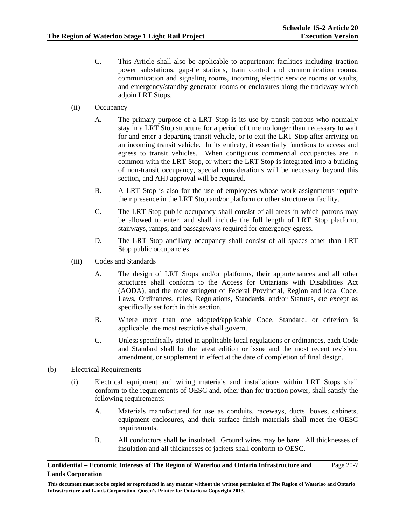- C. This Article shall also be applicable to appurtenant facilities including traction power substations, gap-tie stations, train control and communication rooms, communication and signaling rooms, incoming electric service rooms or vaults, and emergency/standby generator rooms or enclosures along the trackway which adjoin LRT Stops.
- (ii) Occupancy
	- A. The primary purpose of a LRT Stop is its use by transit patrons who normally stay in a LRT Stop structure for a period of time no longer than necessary to wait for and enter a departing transit vehicle, or to exit the LRT Stop after arriving on an incoming transit vehicle. In its entirety, it essentially functions to access and egress to transit vehicles. When contiguous commercial occupancies are in common with the LRT Stop, or where the LRT Stop is integrated into a building of non-transit occupancy, special considerations will be necessary beyond this section, and AHJ approval will be required.
	- B. A LRT Stop is also for the use of employees whose work assignments require their presence in the LRT Stop and/or platform or other structure or facility.
	- C. The LRT Stop public occupancy shall consist of all areas in which patrons may be allowed to enter, and shall include the full length of LRT Stop platform, stairways, ramps, and passageways required for emergency egress.
	- D. The LRT Stop ancillary occupancy shall consist of all spaces other than LRT Stop public occupancies.
- (iii) Codes and Standards
	- A. The design of LRT Stops and/or platforms, their appurtenances and all other structures shall conform to the Access for Ontarians with Disabilities Act (AODA), and the more stringent of Federal Provincial, Region and local Code, Laws, Ordinances, rules, Regulations, Standards, and/or Statutes, etc except as specifically set forth in this section.
	- B. Where more than one adopted/applicable Code, Standard, or criterion is applicable, the most restrictive shall govern.
	- C. Unless specifically stated in applicable local regulations or ordinances, each Code and Standard shall be the latest edition or issue and the most recent revision, amendment, or supplement in effect at the date of completion of final design.
- (b) Electrical Requirements
	- (i) Electrical equipment and wiring materials and installations within LRT Stops shall conform to the requirements of OESC and, other than for traction power, shall satisfy the following requirements:
		- A. Materials manufactured for use as conduits, raceways, ducts, boxes, cabinets, equipment enclosures, and their surface finish materials shall meet the OESC requirements.
		- B. All conductors shall be insulated. Ground wires may be bare. All thicknesses of insulation and all thicknesses of jackets shall conform to OESC.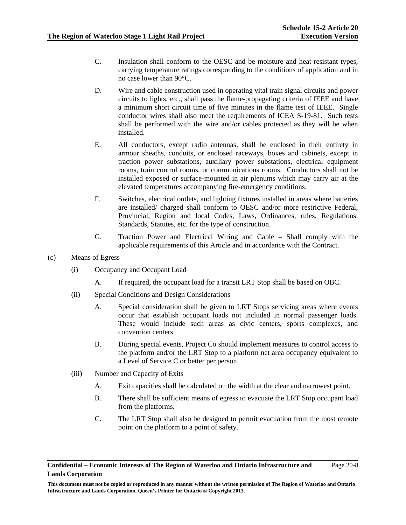Page 20-8

- C. Insulation shall conform to the OESC and be moisture and heat-resistant types, carrying temperature ratings corresponding to the conditions of application and in no case lower than 90°C.
- D. Wire and cable construction used in operating vital train signal circuits and power circuits to lights, etc., shall pass the flame-propagating criteria of IEEE and have a minimum short circuit time of five minutes in the flame test of IEEE. Single conductor wires shall also meet the requirements of ICEA S-19-81. Such tests shall be performed with the wire and/or cables protected as they will be when installed.
- E. All conductors, except radio antennas, shall be enclosed in their entirety in armour sheaths, conduits, or enclosed raceways, boxes and cabinets, except in traction power substations, auxiliary power substations, electrical equipment rooms, train control rooms, or communications rooms. Conductors shall not be installed exposed or surface-mounted in air plenums which may carry air at the elevated temperatures accompanying fire-emergency conditions.
- F. Switches, electrical outlets, and lighting fixtures installed in areas where batteries are installed/ charged shall conform to OESC and/or more restrictive Federal, Provincial, Region and local Codes, Laws, Ordinances, rules, Regulations, Standards, Statutes, etc. for the type of construction.
- G. Traction Power and Electrical Wiring and Cable Shall comply with the applicable requirements of this Article and in accordance with the Contract.
- (c) Means of Egress
	- (i) Occupancy and Occupant Load
		- A. If required, the occupant load for a transit LRT Stop shall be based on OBC.
	- (ii) Special Conditions and Design Considerations
		- A. Special consideration shall be given to LRT Stops servicing areas where events occur that establish occupant loads not included in normal passenger loads. These would include such areas as civic centers, sports complexes, and convention centers.
		- B. During special events, Project Co should implement measures to control access to the platform and/or the LRT Stop to a platform net area occupancy equivalent to a Level of Service C or better per person.
	- (iii) Number and Capacity of Exits
		- A. Exit capacities shall be calculated on the width at the clear and narrowest point.
		- B. There shall be sufficient means of egress to evacuate the LRT Stop occupant load from the platforms.
		- C. The LRT Stop shall also be designed to permit evacuation from the most remote point on the platform to a point of safety.

**Confidential – Economic Interests of The Region of Waterloo and Ontario Infrastructure and Lands Corporation** 

**This document must not be copied or reproduced in any manner without the written permission of The Region of Waterloo and Ontario Infrastructure and Lands Corporation. Queen's Printer for Ontario © Copyright 2013.**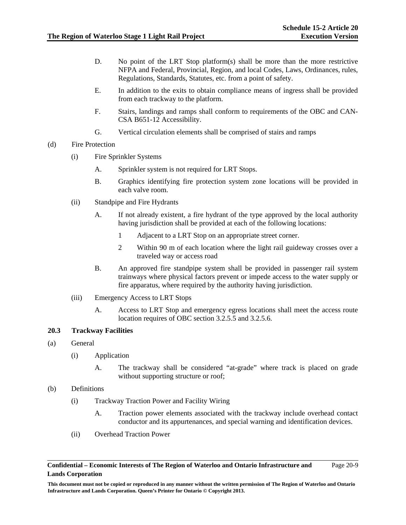Page 20-9

- D. No point of the LRT Stop platform(s) shall be more than the more restrictive NFPA and Federal, Provincial, Region, and local Codes, Laws, Ordinances, rules, Regulations, Standards, Statutes, etc. from a point of safety.
- E. In addition to the exits to obtain compliance means of ingress shall be provided from each trackway to the platform.
- F. Stairs, landings and ramps shall conform to requirements of the OBC and CAN-CSA B651-12 Accessibility.
- G. Vertical circulation elements shall be comprised of stairs and ramps
- (d) Fire Protection
	- (i) Fire Sprinkler Systems
		- A. Sprinkler system is not required for LRT Stops.
		- B. Graphics identifying fire protection system zone locations will be provided in each valve room.
	- (ii) Standpipe and Fire Hydrants
		- A. If not already existent, a fire hydrant of the type approved by the local authority having jurisdiction shall be provided at each of the following locations:
			- 1 Adjacent to a LRT Stop on an appropriate street corner.
			- 2 Within 90 m of each location where the light rail guideway crosses over a traveled way or access road
		- B. An approved fire standpipe system shall be provided in passenger rail system trainways where physical factors prevent or impede access to the water supply or fire apparatus, where required by the authority having jurisdiction.
	- (iii) Emergency Access to LRT Stops
		- A. Access to LRT Stop and emergency egress locations shall meet the access route location requires of OBC section 3.2.5.5 and 3.2.5.6.

## **20.3 Trackway Facilities**

- (a) General
	- (i) Application
		- A. The trackway shall be considered "at-grade" where track is placed on grade without supporting structure or roof;

## (b) Definitions

- (i) Trackway Traction Power and Facility Wiring
	- A. Traction power elements associated with the trackway include overhead contact conductor and its appurtenances, and special warning and identification devices.
- (ii) Overhead Traction Power

**This document must not be copied or reproduced in any manner without the written permission of The Region of Waterloo and Ontario Infrastructure and Lands Corporation. Queen's Printer for Ontario © Copyright 2013.**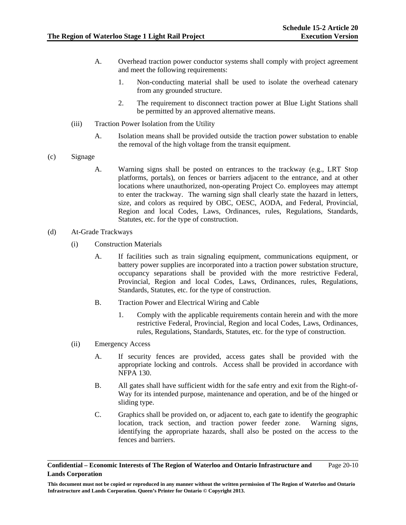- A. Overhead traction power conductor systems shall comply with project agreement and meet the following requirements:
	- 1. Non-conducting material shall be used to isolate the overhead catenary from any grounded structure.
	- 2. The requirement to disconnect traction power at Blue Light Stations shall be permitted by an approved alternative means.
- (iii) Traction Power Isolation from the Utility
	- A. Isolation means shall be provided outside the traction power substation to enable the removal of the high voltage from the transit equipment.
- (c) Signage
	- A. Warning signs shall be posted on entrances to the trackway (e.g., LRT Stop platforms, portals), on fences or barriers adjacent to the entrance, and at other locations where unauthorized, non-operating Project Co. employees may attempt to enter the trackway. The warning sign shall clearly state the hazard in letters, size, and colors as required by OBC, OESC, AODA, and Federal, Provincial, Region and local Codes, Laws, Ordinances, rules, Regulations, Standards, Statutes, etc. for the type of construction.
- (d) At-Grade Trackways
	- (i) Construction Materials
		- A. If facilities such as train signaling equipment, communications equipment, or battery power supplies are incorporated into a traction power substation structure, occupancy separations shall be provided with the more restrictive Federal, Provincial, Region and local Codes, Laws, Ordinances, rules, Regulations, Standards, Statutes, etc. for the type of construction.
		- B. Traction Power and Electrical Wiring and Cable
			- 1. Comply with the applicable requirements contain herein and with the more restrictive Federal, Provincial, Region and local Codes, Laws, Ordinances, rules, Regulations, Standards, Statutes, etc. for the type of construction.
	- (ii) Emergency Access
		- A. If security fences are provided, access gates shall be provided with the appropriate locking and controls. Access shall be provided in accordance with NFPA 130.
		- B. All gates shall have sufficient width for the safe entry and exit from the Right-of-Way for its intended purpose, maintenance and operation, and be of the hinged or sliding type.
		- C. Graphics shall be provided on, or adjacent to, each gate to identify the geographic location, track section, and traction power feeder zone. Warning signs, identifying the appropriate hazards, shall also be posted on the access to the fences and barriers.

**Confidential – Economic Interests of The Region of Waterloo and Ontario Infrastructure and Lands Corporation**  Page 20-10

**This document must not be copied or reproduced in any manner without the written permission of The Region of Waterloo and Ontario Infrastructure and Lands Corporation. Queen's Printer for Ontario © Copyright 2013.**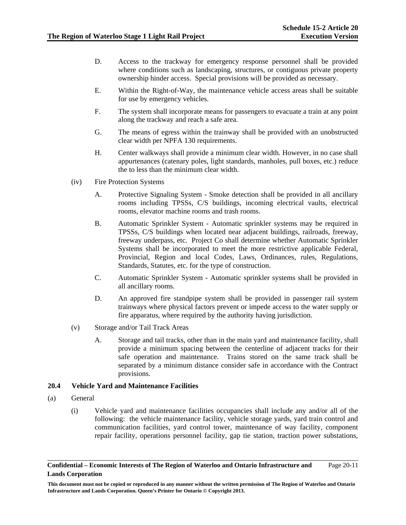- D. Access to the trackway for emergency response personnel shall be provided where conditions such as landscaping, structures, or contiguous private property ownership hinder access. Special provisions will be provided as necessary.
- E. Within the Right-of-Way, the maintenance vehicle access areas shall be suitable for use by emergency vehicles.
- F. The system shall incorporate means for passengers to evacuate a train at any point along the trackway and reach a safe area.
- G. The means of egress within the trainway shall be provided with an unobstructed clear width per NPFA 130 requirements.
- H. Center walkways shall provide a minimum clear width. However, in no case shall appurtenances (catenary poles, light standards, manholes, pull boxes, etc.) reduce the to less than the minimum clear width.
- (iv) Fire Protection Systems
	- A. Protective Signaling System Smoke detection shall be provided in all ancillary rooms including TPSSs, C/S buildings, incoming electrical vaults, electrical rooms, elevator machine rooms and trash rooms.
	- B. Automatic Sprinkler System Automatic sprinkler systems may be required in TPSSs, C/S buildings when located near adjacent buildings, railroads, freeway, freeway underpass, etc. Project Co shall determine whether Automatic Sprinkler Systems shall be incorporated to meet the more restrictive applicable Federal, Provincial, Region and local Codes, Laws, Ordinances, rules, Regulations, Standards, Statutes, etc. for the type of construction.
	- C. Automatic Sprinkler System Automatic sprinkler systems shall be provided in all ancillary rooms.
	- D. An approved fire standpipe system shall be provided in passenger rail system trainways where physical factors prevent or impede access to the water supply or fire apparatus, where required by the authority having jurisdiction.
- (v) Storage and/or Tail Track Areas
	- A. Storage and tail tracks, other than in the main yard and maintenance facility, shall provide a minimum spacing between the centerline of adjacent tracks for their safe operation and maintenance. Trains stored on the same track shall be separated by a minimum distance consider safe in accordance with the Contract provisions.

### **20.4 Vehicle Yard and Maintenance Facilities**

- (a) General
	- (i) Vehicle yard and maintenance facilities occupancies shall include any and/or all of the following: the vehicle maintenance facility, vehicle storage yards, yard train control and communication facilities, yard control tower, maintenance of way facility, component repair facility, operations personnel facility, gap tie station, traction power substations,

**Confidential – Economic Interests of The Region of Waterloo and Ontario Infrastructure and Lands Corporation**  Page 20-11

**This document must not be copied or reproduced in any manner without the written permission of The Region of Waterloo and Ontario Infrastructure and Lands Corporation. Queen's Printer for Ontario © Copyright 2013.**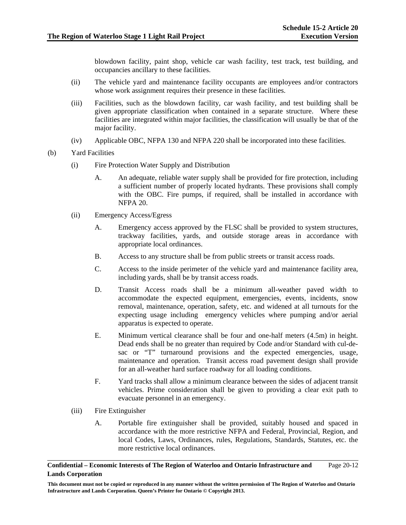blowdown facility, paint shop, vehicle car wash facility, test track, test building, and occupancies ancillary to these facilities.

- (ii) The vehicle yard and maintenance facility occupants are employees and/or contractors whose work assignment requires their presence in these facilities.
- (iii) Facilities, such as the blowdown facility, car wash facility, and test building shall be given appropriate classification when contained in a separate structure. Where these facilities are integrated within major facilities, the classification will usually be that of the major facility.
- (iv) Applicable OBC, NFPA 130 and NFPA 220 shall be incorporated into these facilities.
- (b) Yard Facilities
	- (i) Fire Protection Water Supply and Distribution
		- A. An adequate, reliable water supply shall be provided for fire protection, including a sufficient number of properly located hydrants. These provisions shall comply with the OBC. Fire pumps, if required, shall be installed in accordance with NFPA 20.
	- (ii) Emergency Access/Egress
		- A. Emergency access approved by the FLSC shall be provided to system structures, trackway facilities, yards, and outside storage areas in accordance with appropriate local ordinances.
		- B. Access to any structure shall be from public streets or transit access roads.
		- C. Access to the inside perimeter of the vehicle yard and maintenance facility area, including yards, shall be by transit access roads.
		- D. Transit Access roads shall be a minimum all-weather paved width to accommodate the expected equipment, emergencies, events, incidents, snow removal, maintenance, operation, safety, etc. and widened at all turnouts for the expecting usage including emergency vehicles where pumping and/or aerial apparatus is expected to operate.
		- E. Minimum vertical clearance shall be four and one-half meters (4.5m) in height. Dead ends shall be no greater than required by Code and/or Standard with cul-desac or "T" turnaround provisions and the expected emergencies, usage, maintenance and operation. Transit access road pavement design shall provide for an all-weather hard surface roadway for all loading conditions.
		- F. Yard tracks shall allow a minimum clearance between the sides of adjacent transit vehicles. Prime consideration shall be given to providing a clear exit path to evacuate personnel in an emergency.
	- (iii) Fire Extinguisher
		- A. Portable fire extinguisher shall be provided, suitably housed and spaced in accordance with the more restrictive NFPA and Federal, Provincial, Region, and local Codes, Laws, Ordinances, rules, Regulations, Standards, Statutes, etc. the more restrictive local ordinances.

#### **Confidential – Economic Interests of The Region of Waterloo and Ontario Infrastructure and Lands Corporation**  Page 20-12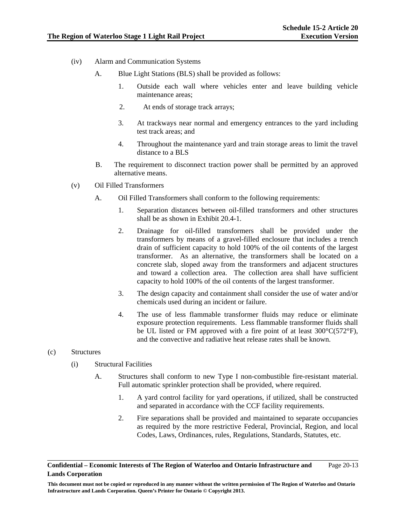- (iv) Alarm and Communication Systems
	- A. Blue Light Stations (BLS) shall be provided as follows:
		- 1. Outside each wall where vehicles enter and leave building vehicle maintenance areas;
		- 2. At ends of storage track arrays;
		- 3. At trackways near normal and emergency entrances to the yard including test track areas; and
		- 4. Throughout the maintenance yard and train storage areas to limit the travel distance to a BLS
	- B. The requirement to disconnect traction power shall be permitted by an approved alternative means.
- (v) Oil Filled Transformers
	- A. Oil Filled Transformers shall conform to the following requirements:
		- 1. Separation distances between oil-filled transformers and other structures shall be as shown in Exhibit 20.4-1.
		- 2. Drainage for oil-filled transformers shall be provided under the transformers by means of a gravel-filled enclosure that includes a trench drain of sufficient capacity to hold 100% of the oil contents of the largest transformer. As an alternative, the transformers shall be located on a concrete slab, sloped away from the transformers and adjacent structures and toward a collection area. The collection area shall have sufficient capacity to hold 100% of the oil contents of the largest transformer.
		- 3. The design capacity and containment shall consider the use of water and/or chemicals used during an incident or failure.
		- 4. The use of less flammable transformer fluids may reduce or eliminate exposure protection requirements. Less flammable transformer fluids shall be UL listed or FM approved with a fire point of at least 300°C(572°F), and the convective and radiative heat release rates shall be known.

## (c) Structures

- (i) Structural Facilities
	- A. Structures shall conform to new Type I non-combustible fire-resistant material. Full automatic sprinkler protection shall be provided, where required.
		- 1. A yard control facility for yard operations, if utilized, shall be constructed and separated in accordance with the CCF facility requirements.
		- 2. Fire separations shall be provided and maintained to separate occupancies as required by the more restrictive Federal, Provincial, Region, and local Codes, Laws, Ordinances, rules, Regulations, Standards, Statutes, etc.

**Confidential – Economic Interests of The Region of Waterloo and Ontario Infrastructure and Lands Corporation**  Page 20-13

**This document must not be copied or reproduced in any manner without the written permission of The Region of Waterloo and Ontario Infrastructure and Lands Corporation. Queen's Printer for Ontario © Copyright 2013.**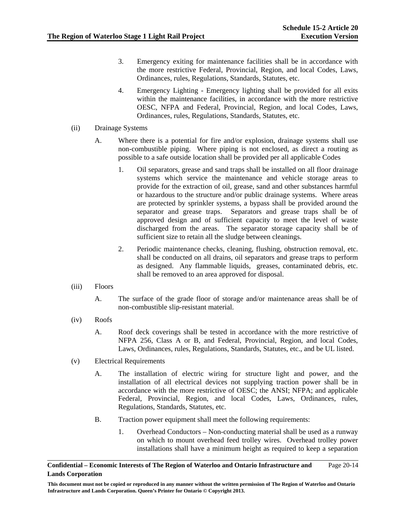- 3. Emergency exiting for maintenance facilities shall be in accordance with the more restrictive Federal, Provincial, Region, and local Codes, Laws, Ordinances, rules, Regulations, Standards, Statutes, etc.
- 4. Emergency Lighting Emergency lighting shall be provided for all exits within the maintenance facilities, in accordance with the more restrictive OESC, NFPA and Federal, Provincial, Region, and local Codes, Laws, Ordinances, rules, Regulations, Standards, Statutes, etc.
- (ii) Drainage Systems
	- A. Where there is a potential for fire and/or explosion, drainage systems shall use non-combustible piping. Where piping is not enclosed, as direct a routing as possible to a safe outside location shall be provided per all applicable Codes
		- 1. Oil separators, grease and sand traps shall be installed on all floor drainage systems which service the maintenance and vehicle storage areas to provide for the extraction of oil, grease, sand and other substances harmful or hazardous to the structure and/or public drainage systems. Where areas are protected by sprinkler systems, a bypass shall be provided around the separator and grease traps. Separators and grease traps shall be of approved design and of sufficient capacity to meet the level of waste discharged from the areas. The separator storage capacity shall be of sufficient size to retain all the sludge between cleanings.
		- 2. Periodic maintenance checks, cleaning, flushing, obstruction removal, etc. shall be conducted on all drains, oil separators and grease traps to perform as designed. Any flammable liquids, greases, contaminated debris, etc. shall be removed to an area approved for disposal.
- (iii) Floors
	- A. The surface of the grade floor of storage and/or maintenance areas shall be of non-combustible slip-resistant material.
- (iv) Roofs
	- A. Roof deck coverings shall be tested in accordance with the more restrictive of NFPA 256, Class A or B, and Federal, Provincial, Region, and local Codes, Laws, Ordinances, rules, Regulations, Standards, Statutes, etc., and be UL listed.
- (v) Electrical Requirements
	- A. The installation of electric wiring for structure light and power, and the installation of all electrical devices not supplying traction power shall be in accordance with the more restrictive of OESC; the ANSI; NFPA; and applicable Federal, Provincial, Region, and local Codes, Laws, Ordinances, rules, Regulations, Standards, Statutes, etc.
	- B. Traction power equipment shall meet the following requirements:
		- 1. Overhead Conductors Non-conducting material shall be used as a runway on which to mount overhead feed trolley wires. Overhead trolley power installations shall have a minimum height as required to keep a separation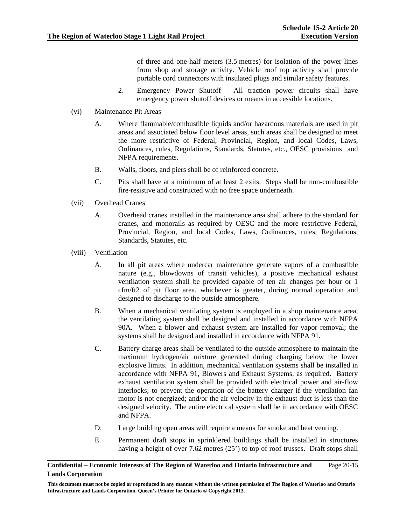of three and one-half meters (3.5 metres) for isolation of the power lines from shop and storage activity. Vehicle roof top activity shall provide portable cord connectors with insulated plugs and similar safety features.

- 2. Emergency Power Shutoff All traction power circuits shall have emergency power shutoff devices or means in accessible locations.
- (vi) Maintenance Pit Areas
	- A. Where flammable/combustible liquids and/or hazardous materials are used in pit areas and associated below floor level areas, such areas shall be designed to meet the more restrictive of Federal, Provincial, Region, and local Codes, Laws, Ordinances, rules, Regulations, Standards, Statutes, etc., OESC provisions and NFPA requirements.
	- B. Walls, floors, and piers shall be of reinforced concrete.
	- C. Pits shall have at a minimum of at least 2 exits. Steps shall be non-combustible fire-resistive and constructed with no free space underneath.
- (vii) Overhead Cranes
	- A. Overhead cranes installed in the maintenance area shall adhere to the standard for cranes, and monorails as required by OESC and the more restrictive Federal, Provincial, Region, and local Codes, Laws, Ordinances, rules, Regulations, Standards, Statutes, etc.
- (viii) Ventilation
	- A. In all pit areas where undercar maintenance generate vapors of a combustible nature (e.g., blowdowns of transit vehicles), a positive mechanical exhaust ventilation system shall be provided capable of ten air changes per hour or 1 cfm/ft2 of pit floor area, whichever is greater, during normal operation and designed to discharge to the outside atmosphere.
	- B. When a mechanical ventilating system is employed in a shop maintenance area, the ventilating system shall be designed and installed in accordance with NFPA 90A. When a blower and exhaust system are installed for vapor removal; the systems shall be designed and installed in accordance with NFPA 91.
	- C. Battery charge areas shall be ventilated to the outside atmosphere to maintain the maximum hydrogen/air mixture generated during charging below the lower explosive limits. In addition, mechanical ventilation systems shall be installed in accordance with NFPA 91, Blowers and Exhaust Systems, as required. Battery exhaust ventilation system shall be provided with electrical power and air-flow interlocks; to prevent the operation of the battery charger if the ventilation fan motor is not energized; and/or the air velocity in the exhaust duct is less than the designed velocity. The entire electrical system shall be in accordance with OESC and NFPA.
	- D. Large building open areas will require a means for smoke and heat venting.
	- E. Permanent draft stops in sprinklered buildings shall be installed in structures having a height of over 7.62 metres (25') to top of roof trusses. Draft stops shall

#### **Confidential – Economic Interests of The Region of Waterloo and Ontario Infrastructure and Lands Corporation**  Page 20-15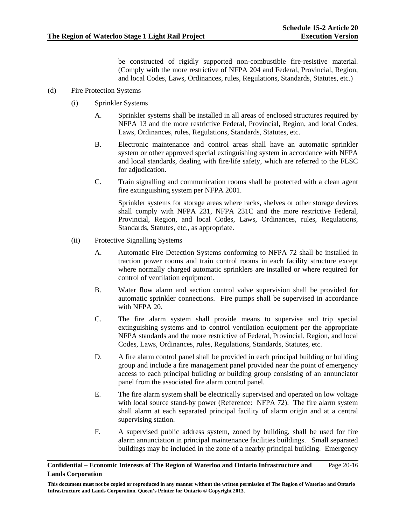be constructed of rigidly supported non-combustible fire-resistive material. (Comply with the more restrictive of NFPA 204 and Federal, Provincial, Region, and local Codes, Laws, Ordinances, rules, Regulations, Standards, Statutes, etc.)

## (d) Fire Protection Systems

- (i) Sprinkler Systems
	- A. Sprinkler systems shall be installed in all areas of enclosed structures required by NFPA 13 and the more restrictive Federal, Provincial, Region, and local Codes, Laws, Ordinances, rules, Regulations, Standards, Statutes, etc.
	- B. Electronic maintenance and control areas shall have an automatic sprinkler system or other approved special extinguishing system in accordance with NFPA and local standards, dealing with fire/life safety, which are referred to the FLSC for adjudication.
	- C. Train signalling and communication rooms shall be protected with a clean agent fire extinguishing system per NFPA 2001.

Sprinkler systems for storage areas where racks, shelves or other storage devices shall comply with NFPA 231, NFPA 231C and the more restrictive Federal, Provincial, Region, and local Codes, Laws, Ordinances, rules, Regulations, Standards, Statutes, etc., as appropriate.

- (ii) Protective Signalling Systems
	- A. Automatic Fire Detection Systems conforming to NFPA 72 shall be installed in traction power rooms and train control rooms in each facility structure except where normally charged automatic sprinklers are installed or where required for control of ventilation equipment.
	- B. Water flow alarm and section control valve supervision shall be provided for automatic sprinkler connections. Fire pumps shall be supervised in accordance with NFPA 20.
	- C. The fire alarm system shall provide means to supervise and trip special extinguishing systems and to control ventilation equipment per the appropriate NFPA standards and the more restrictive of Federal, Provincial, Region, and local Codes, Laws, Ordinances, rules, Regulations, Standards, Statutes, etc.
	- D. A fire alarm control panel shall be provided in each principal building or building group and include a fire management panel provided near the point of emergency access to each principal building or building group consisting of an annunciator panel from the associated fire alarm control panel.
	- E. The fire alarm system shall be electrically supervised and operated on low voltage with local source stand-by power (Reference: NFPA 72). The fire alarm system shall alarm at each separated principal facility of alarm origin and at a central supervising station.
	- F. A supervised public address system, zoned by building, shall be used for fire alarm annunciation in principal maintenance facilities buildings. Small separated buildings may be included in the zone of a nearby principal building. Emergency

#### **Confidential – Economic Interests of The Region of Waterloo and Ontario Infrastructure and Lands Corporation**  Page 20-16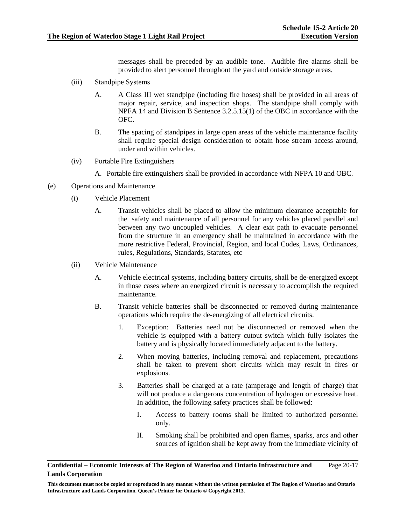messages shall be preceded by an audible tone. Audible fire alarms shall be provided to alert personnel throughout the yard and outside storage areas.

- (iii) Standpipe Systems
	- A. A Class III wet standpipe (including fire hoses) shall be provided in all areas of major repair, service, and inspection shops. The standpipe shall comply with NPFA 14 and Division B Sentence 3.2.5.15(1) of the OBC in accordance with the OFC.
	- B. The spacing of standpipes in large open areas of the vehicle maintenance facility shall require special design consideration to obtain hose stream access around, under and within vehicles.
- (iv) Portable Fire Extinguishers
	- A. Portable fire extinguishers shall be provided in accordance with NFPA 10 and OBC.
- (e) Operations and Maintenance
	- (i) Vehicle Placement
		- A. Transit vehicles shall be placed to allow the minimum clearance acceptable for the safety and maintenance of all personnel for any vehicles placed parallel and between any two uncoupled vehicles. A clear exit path to evacuate personnel from the structure in an emergency shall be maintained in accordance with the more restrictive Federal, Provincial, Region, and local Codes, Laws, Ordinances, rules, Regulations, Standards, Statutes, etc
	- (ii) Vehicle Maintenance
		- A. Vehicle electrical systems, including battery circuits, shall be de-energized except in those cases where an energized circuit is necessary to accomplish the required maintenance.
		- B. Transit vehicle batteries shall be disconnected or removed during maintenance operations which require the de-energizing of all electrical circuits.
			- 1. Exception: Batteries need not be disconnected or removed when the vehicle is equipped with a battery cutout switch which fully isolates the battery and is physically located immediately adjacent to the battery.
			- 2. When moving batteries, including removal and replacement, precautions shall be taken to prevent short circuits which may result in fires or explosions.
			- 3. Batteries shall be charged at a rate (amperage and length of charge) that will not produce a dangerous concentration of hydrogen or excessive heat. In addition, the following safety practices shall be followed:
				- I. Access to battery rooms shall be limited to authorized personnel only.
				- II. Smoking shall be prohibited and open flames, sparks, arcs and other sources of ignition shall be kept away from the immediate vicinity of

**Confidential – Economic Interests of The Region of Waterloo and Ontario Infrastructure and Lands Corporation**  Page 20-17

**This document must not be copied or reproduced in any manner without the written permission of The Region of Waterloo and Ontario Infrastructure and Lands Corporation. Queen's Printer for Ontario © Copyright 2013.**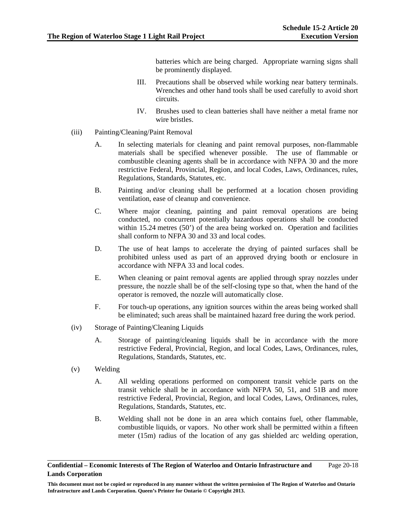batteries which are being charged. Appropriate warning signs shall be prominently displayed.

- III. Precautions shall be observed while working near battery terminals. Wrenches and other hand tools shall be used carefully to avoid short circuits.
- IV. Brushes used to clean batteries shall have neither a metal frame nor wire bristles.
- (iii) Painting/Cleaning/Paint Removal
	- A. In selecting materials for cleaning and paint removal purposes, non-flammable materials shall be specified whenever possible. The use of flammable or combustible cleaning agents shall be in accordance with NFPA 30 and the more restrictive Federal, Provincial, Region, and local Codes, Laws, Ordinances, rules, Regulations, Standards, Statutes, etc.
	- B. Painting and/or cleaning shall be performed at a location chosen providing ventilation, ease of cleanup and convenience.
	- C. Where major cleaning, painting and paint removal operations are being conducted, no concurrent potentially hazardous operations shall be conducted within 15.24 metres (50') of the area being worked on. Operation and facilities shall conform to NFPA 30 and 33 and local codes.
	- D. The use of heat lamps to accelerate the drying of painted surfaces shall be prohibited unless used as part of an approved drying booth or enclosure in accordance with NFPA 33 and local codes.
	- E. When cleaning or paint removal agents are applied through spray nozzles under pressure, the nozzle shall be of the self-closing type so that, when the hand of the operator is removed, the nozzle will automatically close.
	- F. For touch-up operations, any ignition sources within the areas being worked shall be eliminated; such areas shall be maintained hazard free during the work period.
- (iv) Storage of Painting/Cleaning Liquids
	- A. Storage of painting/cleaning liquids shall be in accordance with the more restrictive Federal, Provincial, Region, and local Codes, Laws, Ordinances, rules, Regulations, Standards, Statutes, etc.
- (v) Welding
	- A. All welding operations performed on component transit vehicle parts on the transit vehicle shall be in accordance with NFPA 50, 51, and 51B and more restrictive Federal, Provincial, Region, and local Codes, Laws, Ordinances, rules, Regulations, Standards, Statutes, etc.
	- B. Welding shall not be done in an area which contains fuel, other flammable, combustible liquids, or vapors. No other work shall be permitted within a fifteen meter (15m) radius of the location of any gas shielded arc welding operation,

**Confidential – Economic Interests of The Region of Waterloo and Ontario Infrastructure and Lands Corporation**  Page 20-18

**This document must not be copied or reproduced in any manner without the written permission of The Region of Waterloo and Ontario Infrastructure and Lands Corporation. Queen's Printer for Ontario © Copyright 2013.**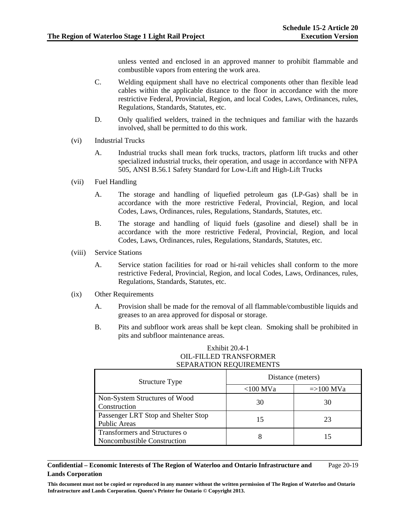unless vented and enclosed in an approved manner to prohibit flammable and combustible vapors from entering the work area.

- C. Welding equipment shall have no electrical components other than flexible lead cables within the applicable distance to the floor in accordance with the more restrictive Federal, Provincial, Region, and local Codes, Laws, Ordinances, rules, Regulations, Standards, Statutes, etc.
- D. Only qualified welders, trained in the techniques and familiar with the hazards involved, shall be permitted to do this work.
- (vi) Industrial Trucks
	- A. Industrial trucks shall mean fork trucks, tractors, platform lift trucks and other specialized industrial trucks, their operation, and usage in accordance with NFPA 505, ANSI B.56.1 Safety Standard for Low-Lift and High-Lift Trucks
- (vii) Fuel Handling
	- A. The storage and handling of liquefied petroleum gas (LP-Gas) shall be in accordance with the more restrictive Federal, Provincial, Region, and local Codes, Laws, Ordinances, rules, Regulations, Standards, Statutes, etc.
	- B. The storage and handling of liquid fuels (gasoline and diesel) shall be in accordance with the more restrictive Federal, Provincial, Region, and local Codes, Laws, Ordinances, rules, Regulations, Standards, Statutes, etc.
- (viii) Service Stations
	- A. Service station facilities for road or hi-rail vehicles shall conform to the more restrictive Federal, Provincial, Region, and local Codes, Laws, Ordinances, rules, Regulations, Standards, Statutes, etc.
- (ix) Other Requirements
	- A. Provision shall be made for the removal of all flammable/combustible liquids and greases to an area approved for disposal or storage.
	- B. Pits and subfloor work areas shall be kept clean. Smoking shall be prohibited in pits and subfloor maintenance areas.

### Exhibit 20.4-1 OIL-FILLED TRANSFORMER SEPARATION REQUIREMENTS

| <b>Structure Type</b>               | Distance (meters) |                     |  |
|-------------------------------------|-------------------|---------------------|--|
|                                     | $<$ 100 MVa       | $\approx$ =>100 MVa |  |
| Non-System Structures of Wood       | 30                | 30                  |  |
| Construction                        |                   |                     |  |
| Passenger LRT Stop and Shelter Stop | 15                | 23                  |  |
| <b>Public Areas</b>                 |                   |                     |  |
| Transformers and Structures o       | 8                 |                     |  |
| Noncombustible Construction         |                   |                     |  |

**Confidential – Economic Interests of The Region of Waterloo and Ontario Infrastructure and Lands Corporation**  Page 20-19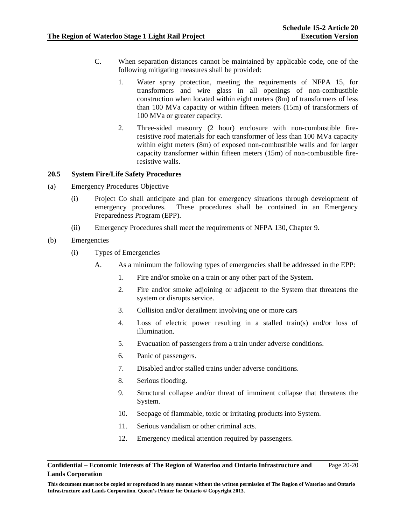- C. When separation distances cannot be maintained by applicable code, one of the following mitigating measures shall be provided:
	- 1. Water spray protection, meeting the requirements of NFPA 15, for transformers and wire glass in all openings of non-combustible construction when located within eight meters (8m) of transformers of less than 100 MVa capacity or within fifteen meters (15m) of transformers of 100 MVa or greater capacity.
	- 2. Three-sided masonry (2 hour) enclosure with non-combustible fireresistive roof materials for each transformer of less than 100 MVa capacity within eight meters (8m) of exposed non-combustible walls and for larger capacity transformer within fifteen meters (15m) of non-combustible fireresistive walls.

## **20.5 System Fire/Life Safety Procedures**

- (a) Emergency Procedures Objective
	- (i) Project Co shall anticipate and plan for emergency situations through development of emergency procedures. These procedures shall be contained in an Emergency Preparedness Program (EPP).
	- (ii) Emergency Procedures shall meet the requirements of NFPA 130, Chapter 9.

## (b) Emergencies

- (i) Types of Emergencies
	- A. As a minimum the following types of emergencies shall be addressed in the EPP:
		- 1. Fire and/or smoke on a train or any other part of the System.
		- 2. Fire and/or smoke adjoining or adjacent to the System that threatens the system or disrupts service.
		- 3. Collision and/or derailment involving one or more cars
		- 4. Loss of electric power resulting in a stalled train(s) and/or loss of illumination.
		- 5. Evacuation of passengers from a train under adverse conditions.
		- 6. Panic of passengers.
		- 7. Disabled and/or stalled trains under adverse conditions.
		- 8. Serious flooding.
		- 9. Structural collapse and/or threat of imminent collapse that threatens the System.
		- 10. Seepage of flammable, toxic or irritating products into System.
		- 11. Serious vandalism or other criminal acts.
		- 12. Emergency medical attention required by passengers.

#### **Confidential – Economic Interests of The Region of Waterloo and Ontario Infrastructure and Lands Corporation**  Page 20-20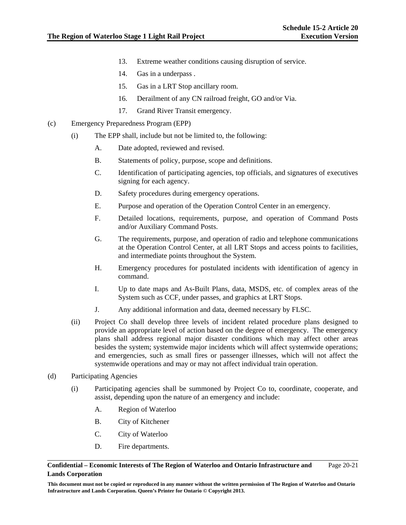- 13. Extreme weather conditions causing disruption of service.
- 14. Gas in a underpass .
- 15. Gas in a LRT Stop ancillary room.
- 16. Derailment of any CN railroad freight, GO and/or Via.
- 17. Grand River Transit emergency.
- (c) Emergency Preparedness Program (EPP)
	- (i) The EPP shall, include but not be limited to, the following:
		- A. Date adopted, reviewed and revised.
		- B. Statements of policy, purpose, scope and definitions.
		- C. Identification of participating agencies, top officials, and signatures of executives signing for each agency.
		- D. Safety procedures during emergency operations.
		- E. Purpose and operation of the Operation Control Center in an emergency.
		- F. Detailed locations, requirements, purpose, and operation of Command Posts and/or Auxiliary Command Posts.
		- G. The requirements, purpose, and operation of radio and telephone communications at the Operation Control Center, at all LRT Stops and access points to facilities, and intermediate points throughout the System.
		- H. Emergency procedures for postulated incidents with identification of agency in command.
		- I. Up to date maps and As-Built Plans, data, MSDS, etc. of complex areas of the System such as CCF, under passes, and graphics at LRT Stops.
		- J. Any additional information and data, deemed necessary by FLSC.
	- (ii) Project Co shall develop three levels of incident related procedure plans designed to provide an appropriate level of action based on the degree of emergency. The emergency plans shall address regional major disaster conditions which may affect other areas besides the system; systemwide major incidents which will affect systemwide operations; and emergencies, such as small fires or passenger illnesses, which will not affect the systemwide operations and may or may not affect individual train operation.
- (d) Participating Agencies
	- (i) Participating agencies shall be summoned by Project Co to, coordinate, cooperate, and assist, depending upon the nature of an emergency and include:
		- A. Region of Waterloo
		- B. City of Kitchener
		- C. City of Waterloo
		- D. Fire departments.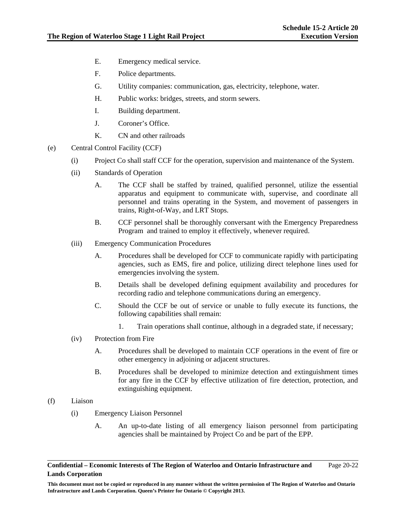- E. Emergency medical service.
- F. Police departments.
- G. Utility companies: communication, gas, electricity, telephone, water.
- H. Public works: bridges, streets, and storm sewers.
- I. Building department.
- J. Coroner's Office.
- K. CN and other railroads
- (e) Central Control Facility (CCF)
	- (i) Project Co shall staff CCF for the operation, supervision and maintenance of the System.
	- (ii) Standards of Operation
		- A. The CCF shall be staffed by trained, qualified personnel, utilize the essential apparatus and equipment to communicate with, supervise, and coordinate all personnel and trains operating in the System, and movement of passengers in trains, Right-of-Way, and LRT Stops.
		- B. CCF personnel shall be thoroughly conversant with the Emergency Preparedness Program and trained to employ it effectively, whenever required.
	- (iii) Emergency Communication Procedures
		- A. Procedures shall be developed for CCF to communicate rapidly with participating agencies, such as EMS, fire and police, utilizing direct telephone lines used for emergencies involving the system.
		- B. Details shall be developed defining equipment availability and procedures for recording radio and telephone communications during an emergency.
		- C. Should the CCF be out of service or unable to fully execute its functions, the following capabilities shall remain:
			- 1. Train operations shall continue, although in a degraded state, if necessary;
	- (iv) Protection from Fire
		- A. Procedures shall be developed to maintain CCF operations in the event of fire or other emergency in adjoining or adjacent structures.
		- B. Procedures shall be developed to minimize detection and extinguishment times for any fire in the CCF by effective utilization of fire detection, protection, and extinguishing equipment.
- (f) Liaison
	- (i) Emergency Liaison Personnel
		- A. An up-to-date listing of all emergency liaison personnel from participating agencies shall be maintained by Project Co and be part of the EPP.

**Confidential – Economic Interests of The Region of Waterloo and Ontario Infrastructure and Lands Corporation**  Page 20-22

**This document must not be copied or reproduced in any manner without the written permission of The Region of Waterloo and Ontario Infrastructure and Lands Corporation. Queen's Printer for Ontario © Copyright 2013.**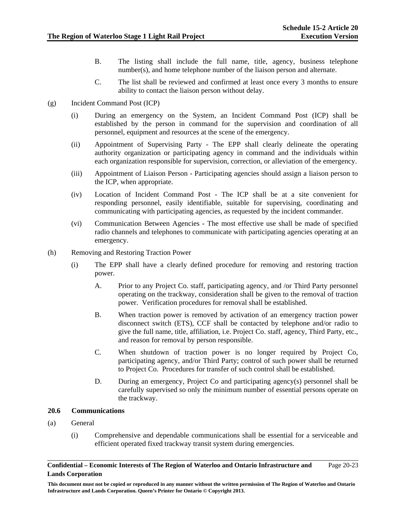- B. The listing shall include the full name, title, agency, business telephone number(s), and home telephone number of the liaison person and alternate.
- C. The list shall be reviewed and confirmed at least once every 3 months to ensure ability to contact the liaison person without delay.
- (g) Incident Command Post (ICP)
	- (i) During an emergency on the System, an Incident Command Post (ICP) shall be established by the person in command for the supervision and coordination of all personnel, equipment and resources at the scene of the emergency.
	- (ii) Appointment of Supervising Party The EPP shall clearly delineate the operating authority organization or participating agency in command and the individuals within each organization responsible for supervision, correction, or alleviation of the emergency.
	- (iii) Appointment of Liaison Person Participating agencies should assign a liaison person to the ICP, when appropriate.
	- (iv) Location of Incident Command Post The ICP shall be at a site convenient for responding personnel, easily identifiable, suitable for supervising, coordinating and communicating with participating agencies, as requested by the incident commander.
	- (vi) Communication Between Agencies The most effective use shall be made of specified radio channels and telephones to communicate with participating agencies operating at an emergency.
- (h) Removing and Restoring Traction Power
	- (i) The EPP shall have a clearly defined procedure for removing and restoring traction power.
		- A. Prior to any Project Co. staff, participating agency, and /or Third Party personnel operating on the trackway, consideration shall be given to the removal of traction power. Verification procedures for removal shall be established.
		- B. When traction power is removed by activation of an emergency traction power disconnect switch (ETS), CCF shall be contacted by telephone and/or radio to give the full name, title, affiliation, i.e. Project Co. staff, agency, Third Party, etc., and reason for removal by person responsible.
		- C. When shutdown of traction power is no longer required by Project Co, participating agency, and/or Third Party; control of such power shall be returned to Project Co. Procedures for transfer of such control shall be established.
		- D. During an emergency, Project Co and participating agency(s) personnel shall be carefully supervised so only the minimum number of essential persons operate on the trackway.

## **20.6 Communications**

- (a) General
	- (i) Comprehensive and dependable communications shall be essential for a serviceable and efficient operated fixed trackway transit system during emergencies.

**Confidential – Economic Interests of The Region of Waterloo and Ontario Infrastructure and Lands Corporation**  Page 20-23

**This document must not be copied or reproduced in any manner without the written permission of The Region of Waterloo and Ontario Infrastructure and Lands Corporation. Queen's Printer for Ontario © Copyright 2013.**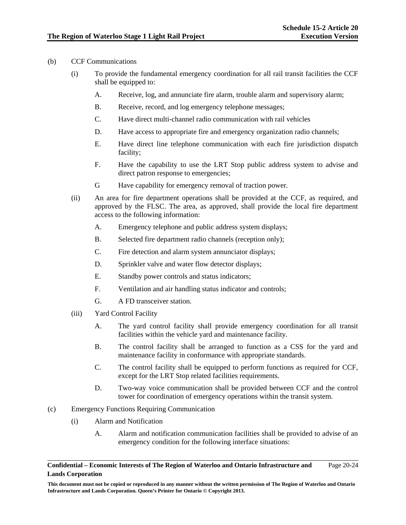## (b) CCF Communications

- (i) To provide the fundamental emergency coordination for all rail transit facilities the CCF shall be equipped to:
	- A. Receive, log, and annunciate fire alarm, trouble alarm and supervisory alarm;
	- B. Receive, record, and log emergency telephone messages;
	- C. Have direct multi-channel radio communication with rail vehicles
	- D. Have access to appropriate fire and emergency organization radio channels;
	- E. Have direct line telephone communication with each fire jurisdiction dispatch facility;
	- F. Have the capability to use the LRT Stop public address system to advise and direct patron response to emergencies;
	- G Have capability for emergency removal of traction power.
- (ii) An area for fire department operations shall be provided at the CCF, as required, and approved by the FLSC. The area, as approved, shall provide the local fire department access to the following information:
	- A. Emergency telephone and public address system displays;
	- B. Selected fire department radio channels (reception only);
	- C. Fire detection and alarm system annunciator displays;
	- D. Sprinkler valve and water flow detector displays;
	- E. Standby power controls and status indicators;
	- F. Ventilation and air handling status indicator and controls;
	- G. A FD transceiver station.
- (iii) Yard Control Facility
	- A. The yard control facility shall provide emergency coordination for all transit facilities within the vehicle yard and maintenance facility.
	- B. The control facility shall be arranged to function as a CSS for the yard and maintenance facility in conformance with appropriate standards.
	- C. The control facility shall be equipped to perform functions as required for CCF, except for the LRT Stop related facilities requirements.
	- D. Two-way voice communication shall be provided between CCF and the control tower for coordination of emergency operations within the transit system.
- (c) Emergency Functions Requiring Communication
	- (i) Alarm and Notification
		- A. Alarm and notification communication facilities shall be provided to advise of an emergency condition for the following interface situations:

**Confidential – Economic Interests of The Region of Waterloo and Ontario Infrastructure and Lands Corporation**  Page 20-24

**This document must not be copied or reproduced in any manner without the written permission of The Region of Waterloo and Ontario Infrastructure and Lands Corporation. Queen's Printer for Ontario © Copyright 2013.**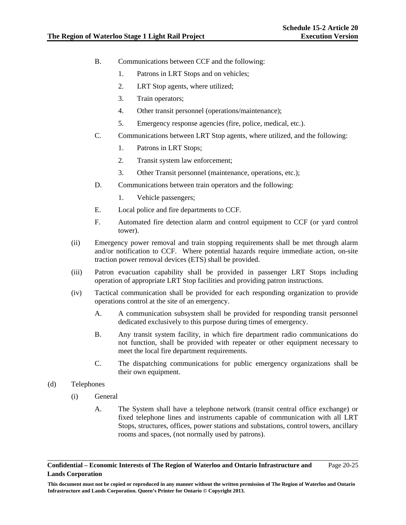- B. Communications between CCF and the following:
	- 1. Patrons in LRT Stops and on vehicles;
	- 2. LRT Stop agents, where utilized;
	- 3. Train operators;
	- 4. Other transit personnel (operations/maintenance);
	- 5. Emergency response agencies (fire, police, medical, etc.).
- C. Communications between LRT Stop agents, where utilized, and the following:
	- 1. Patrons in LRT Stops;
	- 2. Transit system law enforcement;
	- 3. Other Transit personnel (maintenance, operations, etc.);
- D. Communications between train operators and the following:
	- 1. Vehicle passengers;
- E. Local police and fire departments to CCF.
- F. Automated fire detection alarm and control equipment to CCF (or yard control tower).
- (ii) Emergency power removal and train stopping requirements shall be met through alarm and/or notification to CCF. Where potential hazards require immediate action, on-site traction power removal devices (ETS) shall be provided.
- (iii) Patron evacuation capability shall be provided in passenger LRT Stops including operation of appropriate LRT Stop facilities and providing patron instructions.
- (iv) Tactical communication shall be provided for each responding organization to provide operations control at the site of an emergency.
	- A. A communication subsystem shall be provided for responding transit personnel dedicated exclusively to this purpose during times of emergency.
	- B. Any transit system facility, in which fire department radio communications do not function, shall be provided with repeater or other equipment necessary to meet the local fire department requirements.
	- C. The dispatching communications for public emergency organizations shall be their own equipment.
- (d) Telephones
	- (i) General
		- A. The System shall have a telephone network (transit central office exchange) or fixed telephone lines and instruments capable of communication with all LRT Stops, structures, offices, power stations and substations, control towers, ancillary rooms and spaces, (not normally used by patrons).

**Confidential – Economic Interests of The Region of Waterloo and Ontario Infrastructure and Lands Corporation**  Page 20-25

**This document must not be copied or reproduced in any manner without the written permission of The Region of Waterloo and Ontario Infrastructure and Lands Corporation. Queen's Printer for Ontario © Copyright 2013.**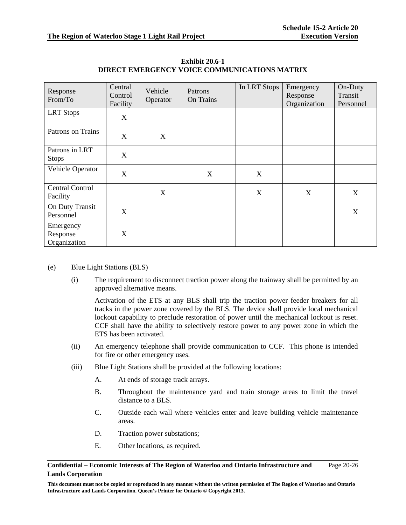| Response<br>From/To                   | Central<br>Control<br>Facility | Vehicle<br>Operator | Patrons<br>On Trains | In LRT Stops | Emergency<br>Response<br>Organization | On-Duty<br>Transit<br>Personnel |
|---------------------------------------|--------------------------------|---------------------|----------------------|--------------|---------------------------------------|---------------------------------|
| <b>LRT</b> Stops                      | X                              |                     |                      |              |                                       |                                 |
| Patrons on Trains                     | X                              | X                   |                      |              |                                       |                                 |
| Patrons in LRT<br><b>Stops</b>        | $\boldsymbol{\mathrm{X}}$      |                     |                      |              |                                       |                                 |
| Vehicle Operator                      | X                              |                     | X                    | X            |                                       |                                 |
| <b>Central Control</b><br>Facility    |                                | X                   |                      | X            | X                                     | X                               |
| On Duty Transit<br>Personnel          | X                              |                     |                      |              |                                       | X                               |
| Emergency<br>Response<br>Organization | X                              |                     |                      |              |                                       |                                 |

**Exhibit 20.6-1 DIRECT EMERGENCY VOICE COMMUNICATIONS MATRIX** 

- (e) Blue Light Stations (BLS)
	- (i) The requirement to disconnect traction power along the trainway shall be permitted by an approved alternative means.

Activation of the ETS at any BLS shall trip the traction power feeder breakers for all tracks in the power zone covered by the BLS. The device shall provide local mechanical lockout capability to preclude restoration of power until the mechanical lockout is reset. CCF shall have the ability to selectively restore power to any power zone in which the ETS has been activated.

- (ii) An emergency telephone shall provide communication to CCF. This phone is intended for fire or other emergency uses.
- (iii) Blue Light Stations shall be provided at the following locations:
	- A. At ends of storage track arrays.
	- B. Throughout the maintenance yard and train storage areas to limit the travel distance to a BLS.
	- C. Outside each wall where vehicles enter and leave building vehicle maintenance areas.
	- D. Traction power substations;
	- E. Other locations, as required.

#### **Confidential – Economic Interests of The Region of Waterloo and Ontario Infrastructure and Lands Corporation**  Page 20-26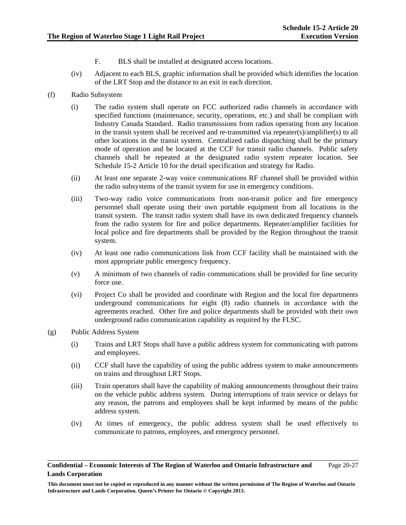- F. BLS shall be installed at designated access locations.
- (iv) Adjacent to each BLS, graphic information shall be provided which identifies the location of the LRT Stop and the distance to an exit in each direction.
- (f) Radio Subsystem
	- (i) The radio system shall operate on FCC authorized radio channels in accordance with specified functions (maintenance, security, operations, etc.) and shall be compliant with Industry Canada Standard. Radio transmissions from radios operating from any location in the transit system shall be received and re-transmitted via repeater(s)/amplifier(s) to all other locations in the transit system. Centralized radio dispatching shall be the primary mode of operation and be located at the CCF for transit radio channels. Public safety channels shall be repeated at the designated radio system repeater location. See Schedule 15-2 Article 10 for the detail specification and strategy for Radio.
	- (ii) At least one separate 2-way voice communications RF channel shall be provided within the radio subsystems of the transit system for use in emergency conditions.
	- (iii) Two-way radio voice communications from non-transit police and fire emergency personnel shall operate using their own portable equipment from all locations in the transit system. The transit radio system shall have its own dedicated frequency channels from the radio system for fire and police departments. Repeater/amplifier facilities for local police and fire departments shall be provided by the Region throughout the transit system.
	- (iv) At least one radio communications link from CCF facility shall be maintained with the most appropriate public emergency frequency.
	- (v) A minimum of two channels of radio communications shall be provided for line security force use.
	- (vi) Project Co shall be provided and coordinate with Region and the local fire departments underground communications for eight (8) radio channels in accordance with the agreements reached. Other fire and police departments shall be provided with their own underground radio communication capability as required by the FLSC.
- (g) Public Address System
	- (i) Trains and LRT Stops shall have a public address system for communicating with patrons and employees.
	- (ii) CCF shall have the capability of using the public address system to make announcements on trains and throughout LRT Stops.
	- (iii) Train operators shall have the capability of making announcements throughout their trains on the vehicle public address system. During interruptions of train service or delays for any reason, the patrons and employees shall be kept informed by means of the public address system.
	- (iv) At times of emergency, the public address system shall be used effectively to communicate to patrons, employees, and emergency personnel.

**Confidential – Economic Interests of The Region of Waterloo and Ontario Infrastructure and Lands Corporation**  Page 20-27

**This document must not be copied or reproduced in any manner without the written permission of The Region of Waterloo and Ontario Infrastructure and Lands Corporation. Queen's Printer for Ontario © Copyright 2013.**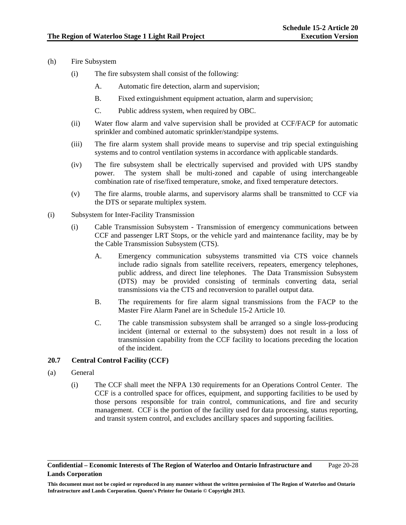- (h) Fire Subsystem
	- (i) The fire subsystem shall consist of the following:
		- A. Automatic fire detection, alarm and supervision;
		- B. Fixed extinguishment equipment actuation, alarm and supervision;
		- C. Public address system, when required by OBC.
	- (ii) Water flow alarm and valve supervision shall be provided at CCF/FACP for automatic sprinkler and combined automatic sprinkler/standpipe systems.
	- (iii) The fire alarm system shall provide means to supervise and trip special extinguishing systems and to control ventilation systems in accordance with applicable standards.
	- (iv) The fire subsystem shall be electrically supervised and provided with UPS standby power. The system shall be multi-zoned and capable of using interchangeable combination rate of rise/fixed temperature, smoke, and fixed temperature detectors.
	- (v) The fire alarms, trouble alarms, and supervisory alarms shall be transmitted to CCF via the DTS or separate multiplex system.
- (i) Subsystem for Inter-Facility Transmission
	- (i) Cable Transmission Subsystem Transmission of emergency communications between CCF and passenger LRT Stops, or the vehicle yard and maintenance facility, may be by the Cable Transmission Subsystem (CTS).
		- A. Emergency communication subsystems transmitted via CTS voice channels include radio signals from satellite receivers, repeaters, emergency telephones, public address, and direct line telephones. The Data Transmission Subsystem (DTS) may be provided consisting of terminals converting data, serial transmissions via the CTS and reconversion to parallel output data.
		- B. The requirements for fire alarm signal transmissions from the FACP to the Master Fire Alarm Panel are in Schedule 15-2 Article 10.
		- C. The cable transmission subsystem shall be arranged so a single loss-producing incident (internal or external to the subsystem) does not result in a loss of transmission capability from the CCF facility to locations preceding the location of the incident.

# **20.7 Central Control Facility (CCF)**

- (a) General
	- (i) The CCF shall meet the NFPA 130 requirements for an Operations Control Center. The CCF is a controlled space for offices, equipment, and supporting facilities to be used by those persons responsible for train control, communications, and fire and security management. CCF is the portion of the facility used for data processing, status reporting, and transit system control, and excludes ancillary spaces and supporting facilities.

**This document must not be copied or reproduced in any manner without the written permission of The Region of Waterloo and Ontario Infrastructure and Lands Corporation. Queen's Printer for Ontario © Copyright 2013.**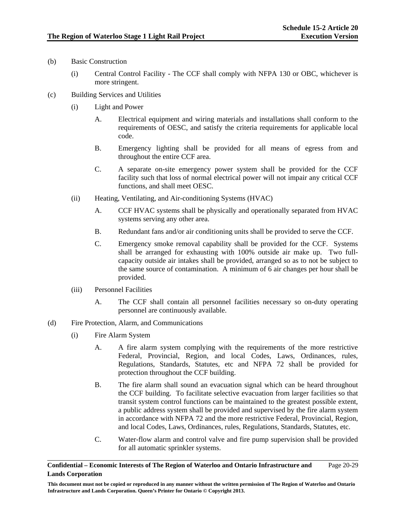- (b) Basic Construction
	- (i) Central Control Facility The CCF shall comply with NFPA 130 or OBC, whichever is more stringent.
- (c) Building Services and Utilities
	- (i) Light and Power
		- A. Electrical equipment and wiring materials and installations shall conform to the requirements of OESC, and satisfy the criteria requirements for applicable local code.
		- B. Emergency lighting shall be provided for all means of egress from and throughout the entire CCF area.
		- C. A separate on-site emergency power system shall be provided for the CCF facility such that loss of normal electrical power will not impair any critical CCF functions, and shall meet OESC.
	- (ii) Heating, Ventilating, and Air-conditioning Systems (HVAC)
		- A. CCF HVAC systems shall be physically and operationally separated from HVAC systems serving any other area.
		- B. Redundant fans and/or air conditioning units shall be provided to serve the CCF.
		- C. Emergency smoke removal capability shall be provided for the CCF. Systems shall be arranged for exhausting with 100% outside air make up. Two fullcapacity outside air intakes shall be provided, arranged so as to not be subject to the same source of contamination. A minimum of 6 air changes per hour shall be provided.
	- (iii) Personnel Facilities
		- A. The CCF shall contain all personnel facilities necessary so on-duty operating personnel are continuously available.
- (d) Fire Protection, Alarm, and Communications
	- (i) Fire Alarm System
		- A. A fire alarm system complying with the requirements of the more restrictive Federal, Provincial, Region, and local Codes, Laws, Ordinances, rules, Regulations, Standards, Statutes, etc and NFPA 72 shall be provided for protection throughout the CCF building.
		- B. The fire alarm shall sound an evacuation signal which can be heard throughout the CCF building. To facilitate selective evacuation from larger facilities so that transit system control functions can be maintained to the greatest possible extent, a public address system shall be provided and supervised by the fire alarm system in accordance with NFPA 72 and the more restrictive Federal, Provincial, Region, and local Codes, Laws, Ordinances, rules, Regulations, Standards, Statutes, etc.
		- C. Water-flow alarm and control valve and fire pump supervision shall be provided for all automatic sprinkler systems.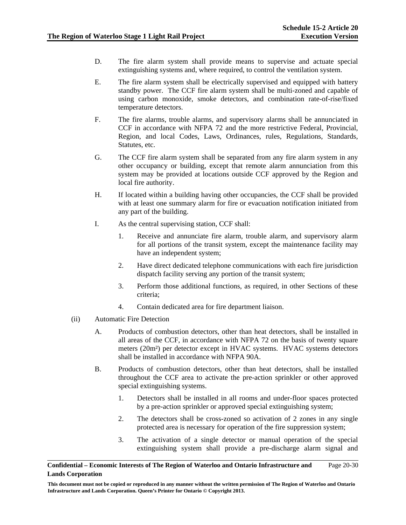- D. The fire alarm system shall provide means to supervise and actuate special extinguishing systems and, where required, to control the ventilation system.
- E. The fire alarm system shall be electrically supervised and equipped with battery standby power. The CCF fire alarm system shall be multi-zoned and capable of using carbon monoxide, smoke detectors, and combination rate-of-rise/fixed temperature detectors.
- F. The fire alarms, trouble alarms, and supervisory alarms shall be annunciated in CCF in accordance with NFPA 72 and the more restrictive Federal, Provincial, Region, and local Codes, Laws, Ordinances, rules, Regulations, Standards, Statutes, etc.
- G. The CCF fire alarm system shall be separated from any fire alarm system in any other occupancy or building, except that remote alarm annunciation from this system may be provided at locations outside CCF approved by the Region and local fire authority.
- H. If located within a building having other occupancies, the CCF shall be provided with at least one summary alarm for fire or evacuation notification initiated from any part of the building.
- I. As the central supervising station, CCF shall:
	- 1. Receive and annunciate fire alarm, trouble alarm, and supervisory alarm for all portions of the transit system, except the maintenance facility may have an independent system;
	- 2. Have direct dedicated telephone communications with each fire jurisdiction dispatch facility serving any portion of the transit system;
	- 3. Perform those additional functions, as required, in other Sections of these criteria;
	- 4. Contain dedicated area for fire department liaison.
- (ii) Automatic Fire Detection
	- A. Products of combustion detectors, other than heat detectors, shall be installed in all areas of the CCF, in accordance with NFPA 72 on the basis of twenty square meters (20m²) per detector except in HVAC systems. HVAC systems detectors shall be installed in accordance with NFPA 90A.
	- B. Products of combustion detectors, other than heat detectors, shall be installed throughout the CCF area to activate the pre-action sprinkler or other approved special extinguishing systems.
		- 1. Detectors shall be installed in all rooms and under-floor spaces protected by a pre-action sprinkler or approved special extinguishing system;
		- 2. The detectors shall be cross-zoned so activation of 2 zones in any single protected area is necessary for operation of the fire suppression system;
		- 3. The activation of a single detector or manual operation of the special extinguishing system shall provide a pre-discharge alarm signal and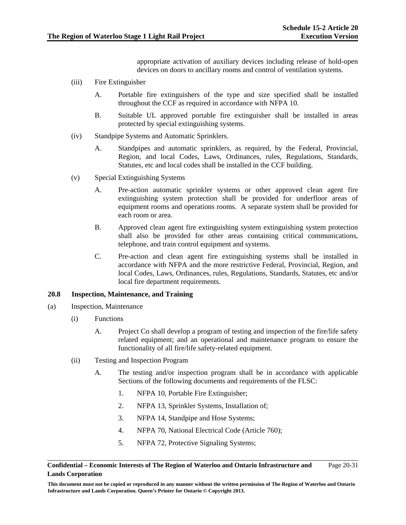appropriate activation of auxiliary devices including release of hold-open devices on doors to ancillary rooms and control of ventilation systems.

- (iii) Fire Extinguisher
	- A. Portable fire extinguishers of the type and size specified shall be installed throughout the CCF as required in accordance with NFPA 10.
	- B. Suitable UL approved portable fire extinguisher shall be installed in areas protected by special extinguishing systems.
- (iv) Standpipe Systems and Automatic Sprinklers.
	- A. Standpipes and automatic sprinklers, as required, by the Federal, Provincial, Region, and local Codes, Laws, Ordinances, rules, Regulations, Standards, Statutes, etc and local codes shall be installed in the CCF building.
- (v) Special Extinguishing Systems
	- A. Pre-action automatic sprinkler systems or other approved clean agent fire extinguishing system protection shall be provided for underfloor areas of equipment rooms and operations rooms. A separate system shall be provided for each room or area.
	- B. Approved clean agent fire extinguishing system extinguishing system protection shall also be provided for other areas containing critical communications, telephone, and train control equipment and systems.
	- C. Pre-action and clean agent fire extinguishing systems shall be installed in accordance with NFPA and the more restrictive Federal, Provincial, Region, and local Codes, Laws, Ordinances, rules, Regulations, Standards, Statutes, etc and/or local fire department requirements.

### **20.8 Inspection, Maintenance, and Training**

- (a) Inspection, Maintenance
	- (i) Functions
		- A. Project Co shall develop a program of testing and inspection of the fire/life safety related equipment; and an operational and maintenance program to ensure the functionality of all fire/life safety-related equipment.
	- (ii) Testing and Inspection Program
		- A. The testing and/or inspection program shall be in accordance with applicable Sections of the following documents and requirements of the FLSC:
			- 1. NFPA 10, Portable Fire Extinguisher;
			- 2. NFPA 13, Sprinkler Systems, Installation of;
			- 3. NFPA 14, Standpipe and Hose Systems;
			- 4. NFPA 70, National Electrical Code (Article 760);
			- 5. NFPA 72, Protective Signaling Systems;

#### **Confidential – Economic Interests of The Region of Waterloo and Ontario Infrastructure and Lands Corporation**  Page 20-31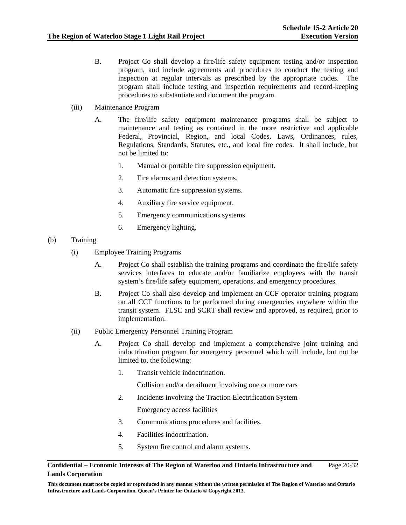- B. Project Co shall develop a fire/life safety equipment testing and/or inspection program, and include agreements and procedures to conduct the testing and inspection at regular intervals as prescribed by the appropriate codes. The program shall include testing and inspection requirements and record-keeping procedures to substantiate and document the program.
- (iii) Maintenance Program
	- A. The fire/life safety equipment maintenance programs shall be subject to maintenance and testing as contained in the more restrictive and applicable Federal, Provincial, Region, and local Codes, Laws, Ordinances, rules, Regulations, Standards, Statutes, etc., and local fire codes. It shall include, but not be limited to:
		- 1. Manual or portable fire suppression equipment.
		- 2. Fire alarms and detection systems.
		- 3. Automatic fire suppression systems.
		- 4. Auxiliary fire service equipment.
		- 5. Emergency communications systems.
		- 6. Emergency lighting.

## (b) Training

- (i) Employee Training Programs
	- A. Project Co shall establish the training programs and coordinate the fire/life safety services interfaces to educate and/or familiarize employees with the transit system's fire/life safety equipment, operations, and emergency procedures.
	- B. Project Co shall also develop and implement an CCF operator training program on all CCF functions to be performed during emergencies anywhere within the transit system. FLSC and SCRT shall review and approved, as required, prior to implementation.
- (ii) Public Emergency Personnel Training Program
	- A. Project Co shall develop and implement a comprehensive joint training and indoctrination program for emergency personnel which will include, but not be limited to, the following:
		- 1. Transit vehicle indoctrination.

Collision and/or derailment involving one or more cars

2. Incidents involving the Traction Electrification System

Emergency access facilities

- 3. Communications procedures and facilities.
- 4. Facilities indoctrination.
- 5. System fire control and alarm systems.

#### **Confidential – Economic Interests of The Region of Waterloo and Ontario Infrastructure and Lands Corporation**  Page 20-32